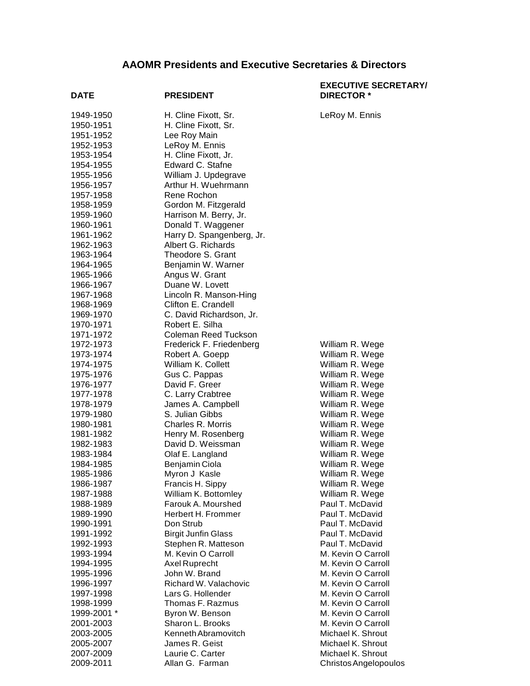## **AAOMR Presidents and Executive Secretaries & Directors**

| DATE                   | <b>PRESIDENT</b>                      | <b>EXECUTIVE SECRETARY/</b><br><b>DIRECTOR *</b> |
|------------------------|---------------------------------------|--------------------------------------------------|
| 1949-1950              | H. Cline Fixott, Sr.                  | LeRoy M. Ennis                                   |
| 1950-1951              | H. Cline Fixott, Sr.                  |                                                  |
| 1951-1952              | Lee Roy Main                          |                                                  |
| 1952-1953              | LeRoy M. Ennis                        |                                                  |
| 1953-1954              | H. Cline Fixott, Jr.                  |                                                  |
| 1954-1955              | Edward C. Stafne                      |                                                  |
| 1955-1956              | William J. Updegrave                  |                                                  |
| 1956-1957              | Arthur H. Wuehrmann                   |                                                  |
| 1957-1958              | Rene Rochon                           |                                                  |
| 1958-1959              | Gordon M. Fitzgerald                  |                                                  |
| 1959-1960              | Harrison M. Berry, Jr.                |                                                  |
| 1960-1961              | Donald T. Waggener                    |                                                  |
| 1961-1962              | Harry D. Spangenberg, Jr.             |                                                  |
| 1962-1963              | Albert G. Richards                    |                                                  |
| 1963-1964              | Theodore S. Grant                     |                                                  |
| 1964-1965              | Benjamin W. Warner                    |                                                  |
| 1965-1966              | Angus W. Grant                        |                                                  |
| 1966-1967              | Duane W. Lovett                       |                                                  |
| 1967-1968              | Lincoln R. Manson-Hing                |                                                  |
| 1968-1969              | Clifton E. Crandell                   |                                                  |
| 1969-1970              | C. David Richardson, Jr.              |                                                  |
| 1970-1971              | Robert E. Silha                       |                                                  |
| 1971-1972              | Coleman Reed Tuckson                  |                                                  |
| 1972-1973              | Frederick F. Friedenberg              | William R. Wege                                  |
| 1973-1974              | Robert A. Goepp<br>William K. Collett | William R. Wege                                  |
| 1974-1975<br>1975-1976 |                                       | William R. Wege                                  |
| 1976-1977              | Gus C. Pappas<br>David F. Greer       | William R. Wege                                  |
| 1977-1978              | C. Larry Crabtree                     | William R. Wege<br>William R. Wege               |
| 1978-1979              | James A. Campbell                     | William R. Wege                                  |
| 1979-1980              | S. Julian Gibbs                       | William R. Wege                                  |
| 1980-1981              | Charles R. Morris                     | William R. Wege                                  |
| 1981-1982              | Henry M. Rosenberg                    | William R. Wege                                  |
| 1982-1983              | David D. Weissman                     | William R. Wege                                  |
| 1983-1984              | Olaf E. Langland                      | William R. Wege                                  |
| 1984-1985              | Benjamin Ciola                        | William R. Wege                                  |
| 1985-1986              | Myron J Kasle                         | William R. Wege                                  |
| 1986-1987              | Francis H. Sippy                      | William R. Wege                                  |
| 1987-1988              | William K. Bottomley                  | William R. Wege                                  |
| 1988-1989              | Farouk A. Mourshed                    | Paul T. McDavid                                  |
| 1989-1990              | Herbert H. Frommer                    | Paul T. McDavid                                  |
| 1990-1991              | Don Strub                             | Paul T. McDavid                                  |
| 1991-1992              | <b>Birgit Junfin Glass</b>            | Paul T. McDavid                                  |
| 1992-1993              | Stephen R. Matteson                   | Paul T. McDavid                                  |
| 1993-1994              | M. Kevin O Carroll                    | M. Kevin O Carroll                               |
| 1994-1995              | Axel Ruprecht                         | M. Kevin O Carroll                               |
| 1995-1996              | John W. Brand                         | M. Kevin O Carroll                               |
| 1996-1997              | Richard W. Valachovic                 | M. Kevin O Carroll                               |
| 1997-1998              | Lars G. Hollender                     | M. Kevin O Carroll                               |
| 1998-1999              | Thomas F. Razmus                      | M. Kevin O Carroll                               |
| 1999-2001 *            | Byron W. Benson                       | M. Kevin O Carroll                               |
| 2001-2003              | Sharon L. Brooks                      | M. Kevin O Carroll                               |
| 2003-2005              | Kenneth Abramovitch                   | Michael K. Shrout                                |
| 2005-2007              | James R. Geist                        | Michael K. Shrout                                |
| 2007-2009              | Laurie C. Carter                      | Michael K. Shrout                                |
| 2009-2011              | Allan G. Farman                       | Christos Angelopoulos                            |

Christos Angelopoulos